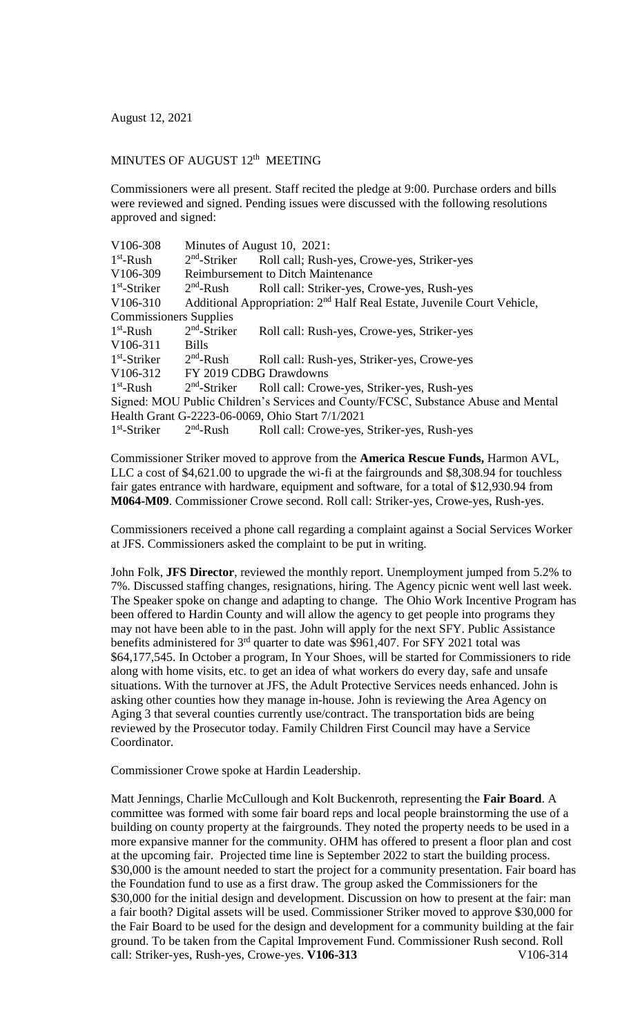August 12, 2021

## MINUTES OF AUGUST 12<sup>th</sup> MEETING

Commissioners were all present. Staff recited the pledge at 9:00. Purchase orders and bills were reviewed and signed. Pending issues were discussed with the following resolutions approved and signed:

|                                                                                    | Minutes of August 10, 2021:                                                                     |
|------------------------------------------------------------------------------------|-------------------------------------------------------------------------------------------------|
|                                                                                    | Roll call; Rush-yes, Crowe-yes, Striker-yes                                                     |
|                                                                                    | <b>Reimbursement to Ditch Maintenance</b>                                                       |
|                                                                                    | Roll call: Striker-yes, Crowe-yes, Rush-yes                                                     |
|                                                                                    | Additional Appropriation: 2 <sup>nd</sup> Half Real Estate, Juvenile Court Vehicle,             |
| <b>Commissioners Supplies</b>                                                      |                                                                                                 |
|                                                                                    | Roll call: Rush-yes, Crowe-yes, Striker-yes                                                     |
| <b>Bills</b>                                                                       |                                                                                                 |
|                                                                                    | Roll call: Rush-yes, Striker-yes, Crowe-yes                                                     |
| FY 2019 CDBG Drawdowns                                                             |                                                                                                 |
|                                                                                    | Roll call: Crowe-yes, Striker-yes, Rush-yes                                                     |
| Signed: MOU Public Children's Services and County/FCSC, Substance Abuse and Mental |                                                                                                 |
| Health Grant G-2223-06-0069, Ohio Start 7/1/2021                                   |                                                                                                 |
|                                                                                    | Roll call: Crowe-yes, Striker-yes, Rush-yes                                                     |
|                                                                                    | $2nd$ -Striker<br>$2nd$ -Rush<br>$2nd$ -Striker<br>$2nd$ -Rush<br>$2nd$ -Striker<br>$2nd$ -Rush |

Commissioner Striker moved to approve from the **America Rescue Funds,** Harmon AVL, LLC a cost of \$4,621.00 to upgrade the wi-fi at the fairgrounds and \$8,308.94 for touchless fair gates entrance with hardware, equipment and software, for a total of \$12,930.94 from **M064-M09**. Commissioner Crowe second. Roll call: Striker-yes, Crowe-yes, Rush-yes.

Commissioners received a phone call regarding a complaint against a Social Services Worker at JFS. Commissioners asked the complaint to be put in writing.

John Folk, **JFS Director**, reviewed the monthly report. Unemployment jumped from 5.2% to 7%. Discussed staffing changes, resignations, hiring. The Agency picnic went well last week. The Speaker spoke on change and adapting to change. The Ohio Work Incentive Program has been offered to Hardin County and will allow the agency to get people into programs they may not have been able to in the past. John will apply for the next SFY. Public Assistance benefits administered for  $3<sup>rd</sup>$  quarter to date was \$961,407. For SFY 2021 total was \$64,177,545. In October a program, In Your Shoes, will be started for Commissioners to ride along with home visits, etc. to get an idea of what workers do every day, safe and unsafe situations. With the turnover at JFS, the Adult Protective Services needs enhanced. John is asking other counties how they manage in-house. John is reviewing the Area Agency on Aging 3 that several counties currently use/contract. The transportation bids are being reviewed by the Prosecutor today. Family Children First Council may have a Service Coordinator.

Commissioner Crowe spoke at Hardin Leadership.

Matt Jennings, Charlie McCullough and Kolt Buckenroth, representing the **Fair Board**. A committee was formed with some fair board reps and local people brainstorming the use of a building on county property at the fairgrounds. They noted the property needs to be used in a more expansive manner for the community. OHM has offered to present a floor plan and cost at the upcoming fair. Projected time line is September 2022 to start the building process. \$30,000 is the amount needed to start the project for a community presentation. Fair board has the Foundation fund to use as a first draw. The group asked the Commissioners for the \$30,000 for the initial design and development. Discussion on how to present at the fair: man a fair booth? Digital assets will be used. Commissioner Striker moved to approve \$30,000 for the Fair Board to be used for the design and development for a community building at the fair ground. To be taken from the Capital Improvement Fund. Commissioner Rush second. Roll call: Striker-yes, Rush-yes, Crowe-yes. **V106-313** V106-314